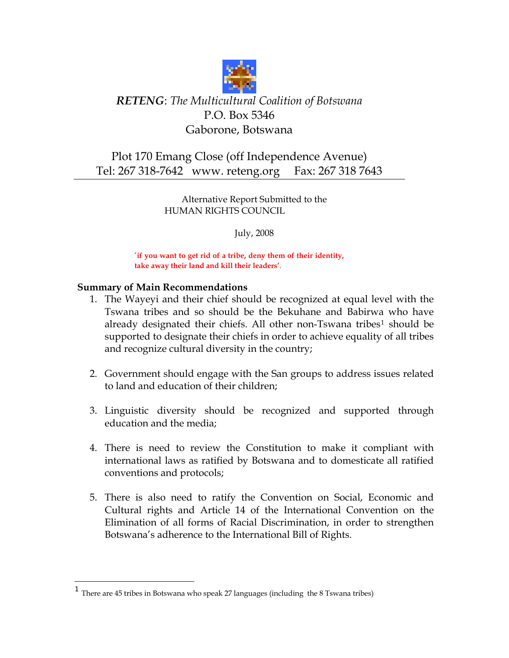

# *RETENG*: *The Multicultural Coalition of Botswana* P.O. Box 5346 Gaborone, Botswana

## Plot 170 Emang Close (off Independence Avenue) Tel: 267 318-7642 www. reteng.org Fax: 267 318 7643

Alternative Report Submitted to the HUMAN RIGHTS COUNCIL

July, 2008

'**if you want to get rid of a tribe, deny them of their identity, take away their land and kill their leaders'**.

## **Summary of Main Recommendations**

 $\overline{a}$ 

- 1. The Wayeyi and their chief should be recognized at equal level with the Tswana tribes and so should be the Bekuhane and Babirwa who have already designated their chiefs. All other non-Tswana tribes<sup>[1](#page-0-0)</sup> should be supported to designate their chiefs in order to achieve equality of all tribes and recognize cultural diversity in the country;
- 2. Government should engage with the San groups to address issues related to land and education of their children;
- 3. Linguistic diversity should be recognized and supported through education and the media;
- 4. There is need to review the Constitution to make it compliant with international laws as ratified by Botswana and to domesticate all ratified conventions and protocols;
- 5. There is also need to ratify the Convention on Social, Economic and Cultural rights and Article 14 of the International Convention on the Elimination of all forms of Racial Discrimination, in order to strengthen Botswana's adherence to the International Bill of Rights.

<span id="page-0-0"></span><sup>&</sup>lt;sup>1</sup> There are 45 tribes in Botswana who speak 27 languages (including the 8 Tswana tribes)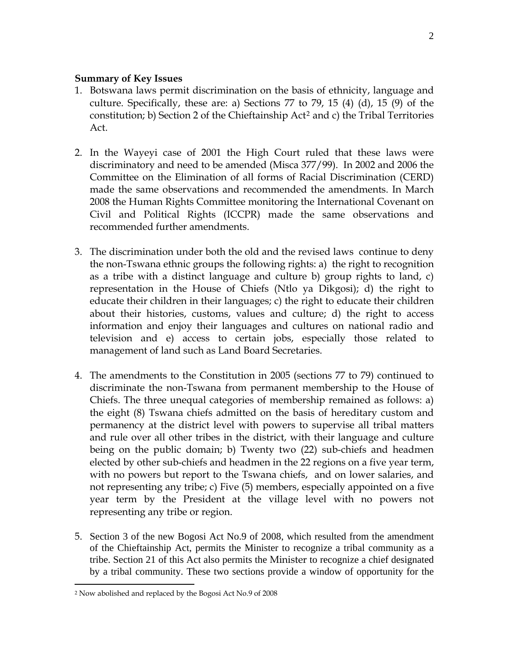#### **Summary of Key Issues**

- 1. Botswana laws permit discrimination on the basis of ethnicity, language and culture. Specifically, these are: a) Sections 77 to 79, 15  $(4)$   $(d)$ , 15  $(9)$  of the constitution; b) Section [2](#page-1-0) of the Chieftainship Act<sup>2</sup> and c) the Tribal Territories Act.
- 2. In the Wayeyi case of 2001 the High Court ruled that these laws were discriminatory and need to be amended (Misca 377/99). In 2002 and 2006 the Committee on the Elimination of all forms of Racial Discrimination (CERD) made the same observations and recommended the amendments. In March 2008 the Human Rights Committee monitoring the International Covenant on Civil and Political Rights (ICCPR) made the same observations and recommended further amendments.
- 3. The discrimination under both the old and the revised laws continue to deny the non-Tswana ethnic groups the following rights: a) the right to recognition as a tribe with a distinct language and culture b) group rights to land, c) representation in the House of Chiefs (Ntlo ya Dikgosi); d) the right to educate their children in their languages; c) the right to educate their children about their histories, customs, values and culture; d) the right to access information and enjoy their languages and cultures on national radio and television and e) access to certain jobs, especially those related to management of land such as Land Board Secretaries.
- 4. The amendments to the Constitution in 2005 (sections 77 to 79) continued to discriminate the non-Tswana from permanent membership to the House of Chiefs. The three unequal categories of membership remained as follows: a) the eight (8) Tswana chiefs admitted on the basis of hereditary custom and permanency at the district level with powers to supervise all tribal matters and rule over all other tribes in the district, with their language and culture being on the public domain; b) Twenty two (22) sub-chiefs and headmen elected by other sub-chiefs and headmen in the 22 regions on a five year term, with no powers but report to the Tswana chiefs, and on lower salaries, and not representing any tribe; c) Five (5) members, especially appointed on a five year term by the President at the village level with no powers not representing any tribe or region.
- 5. Section 3 of the new Bogosi Act No.9 of 2008, which resulted from the amendment of the Chieftainship Act, permits the Minister to recognize a tribal community as a tribe. Section 21 of this Act also permits the Minister to recognize a chief designated by a tribal community. These two sections provide a window of opportunity for the

 $\overline{a}$ 

<span id="page-1-0"></span><sup>2</sup> Now abolished and replaced by the Bogosi Act No.9 of 2008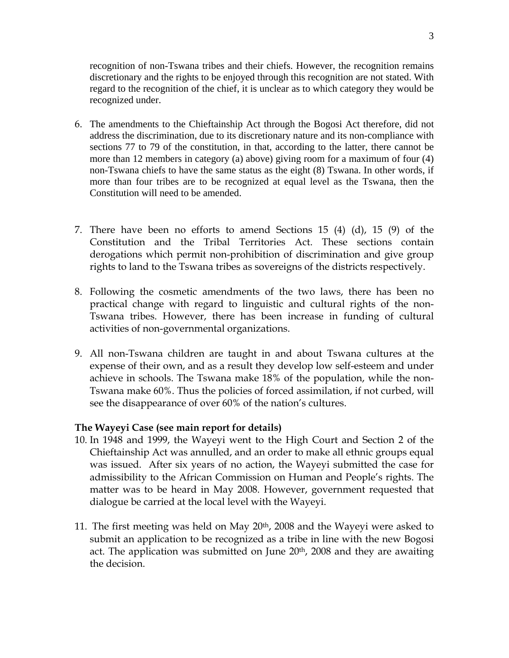recognition of non-Tswana tribes and their chiefs. However, the recognition remains discretionary and the rights to be enjoyed through this recognition are not stated. With regard to the recognition of the chief, it is unclear as to which category they would be recognized under.

- 6. The amendments to the Chieftainship Act through the Bogosi Act therefore, did not address the discrimination, due to its discretionary nature and its non-compliance with sections 77 to 79 of the constitution, in that, according to the latter, there cannot be more than 12 members in category (a) above) giving room for a maximum of four (4) non-Tswana chiefs to have the same status as the eight (8) Tswana. In other words, if more than four tribes are to be recognized at equal level as the Tswana, then the Constitution will need to be amended.
- 7. There have been no efforts to amend Sections 15 (4) (d), 15 (9) of the Constitution and the Tribal Territories Act. These sections contain derogations which permit non-prohibition of discrimination and give group rights to land to the Tswana tribes as sovereigns of the districts respectively.
- 8. Following the cosmetic amendments of the two laws, there has been no practical change with regard to linguistic and cultural rights of the non-Tswana tribes. However, there has been increase in funding of cultural activities of non-governmental organizations.
- 9. All non-Tswana children are taught in and about Tswana cultures at the expense of their own, and as a result they develop low self-esteem and under achieve in schools. The Tswana make 18% of the population, while the non-Tswana make 60%. Thus the policies of forced assimilation, if not curbed, will see the disappearance of over 60% of the nation's cultures.

## **The Wayeyi Case (see main report for details)**

- 10. In 1948 and 1999, the Wayeyi went to the High Court and Section 2 of the Chieftainship Act was annulled, and an order to make all ethnic groups equal was issued. After six years of no action, the Wayeyi submitted the case for admissibility to the African Commission on Human and People's rights. The matter was to be heard in May 2008. However, government requested that dialogue be carried at the local level with the Wayeyi.
- 11. The first meeting was held on May  $20<sup>th</sup>$ , 2008 and the Wayeyi were asked to submit an application to be recognized as a tribe in line with the new Bogosi act. The application was submitted on June 20<sup>th</sup>, 2008 and they are awaiting the decision.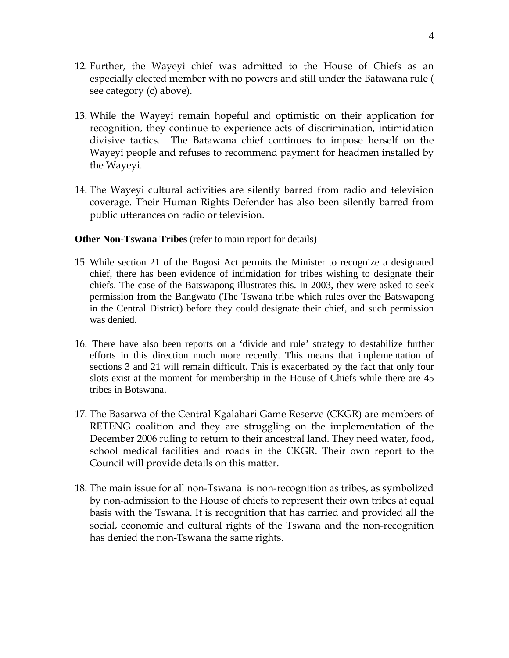- 12. Further, the Wayeyi chief was admitted to the House of Chiefs as an especially elected member with no powers and still under the Batawana rule ( see category (c) above).
- 13. While the Wayeyi remain hopeful and optimistic on their application for recognition, they continue to experience acts of discrimination, intimidation divisive tactics. The Batawana chief continues to impose herself on the Wayeyi people and refuses to recommend payment for headmen installed by the Wayeyi.
- 14. The Wayeyi cultural activities are silently barred from radio and television coverage. Their Human Rights Defender has also been silently barred from public utterances on radio or television.

### **Other Non-Tswana Tribes** (refer to main report for details)

- 15. While section 21 of the Bogosi Act permits the Minister to recognize a designated chief, there has been evidence of intimidation for tribes wishing to designate their chiefs. The case of the Batswapong illustrates this. In 2003, they were asked to seek permission from the Bangwato (The Tswana tribe which rules over the Batswapong in the Central District) before they could designate their chief, and such permission was denied.
- 16. There have also been reports on a 'divide and rule' strategy to destabilize further efforts in this direction much more recently. This means that implementation of sections 3 and 21 will remain difficult. This is exacerbated by the fact that only four slots exist at the moment for membership in the House of Chiefs while there are 45 tribes in Botswana.
- 17. The Basarwa of the Central Kgalahari Game Reserve (CKGR) are members of RETENG coalition and they are struggling on the implementation of the December 2006 ruling to return to their ancestral land. They need water, food, school medical facilities and roads in the CKGR. Their own report to the Council will provide details on this matter.
- 18. The main issue for all non-Tswana is non-recognition as tribes, as symbolized by non-admission to the House of chiefs to represent their own tribes at equal basis with the Tswana. It is recognition that has carried and provided all the social, economic and cultural rights of the Tswana and the non-recognition has denied the non-Tswana the same rights.